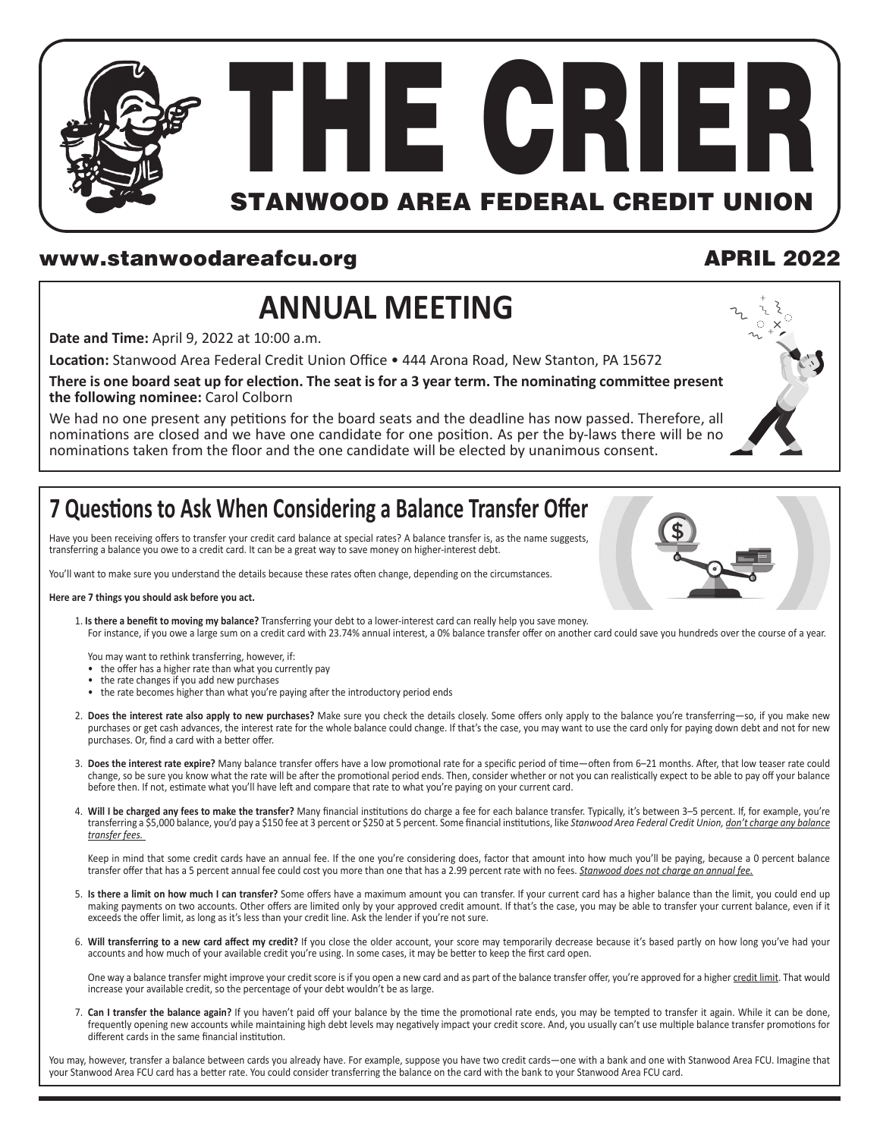

#### www.stanwoodareafcu.org APRIL 2022

# **ANNUAL MEETING**

**Date and Time:** April 9, 2022 at 10:00 a.m.

**Location:** Stanwood Area Federal Credit Union Office • 444 Arona Road, New Stanton, PA 15672

**There is one board seat up for election. The seat is for a 3 year term. The nominating committee present the following nominee:** Carol Colborn

We had no one present any petitions for the board seats and the deadline has now passed. Therefore, all nominations are closed and we have one candidate for one position. As per the by-laws there will be no nominations taken from the floor and the one candidate will be elected by unanimous consent.



### **7 Questions to Ask When Considering a Balance Transfer Offer**

Have you been receiving offers to transfer your credit card balance at special rates? A balance transfer is, as the name suggests, transferring a balance you owe to a credit card. It can be a great way to save money on higher-interest debt.

You'll want to make sure you understand the details because these rates often change, depending on the circumstances.

#### **Here are 7 things you should ask before you act.**

- 1. **Is there a benefit to moving my balance?** Transferring your debt to a lower-interest card can really help you save money.
- For instance, if you owe a large sum on a credit card with 23.74% annual interest, a 0% balance transfer offer on another card could save you hundreds over the course of a year.

You may want to rethink transferring, however, if:

- the offer has a higher rate than what you currently pay
- the rate changes if you add new purchases
- the rate becomes higher than what you're paying after the introductory period ends
- 2. **Does the interest rate also apply to new purchases?** Make sure you check the details closely. Some offers only apply to the balance you're transferring—so, if you make new purchases or get cash advances, the interest rate for the whole balance could change. If that's the case, you may want to use the card only for paying down debt and not for new purchases. Or, find a card with a better offer.
- 3. **Does the interest rate expire?** Many balance transfer offers have a low promotional rate for a specific period of time—often from 6–21 months. After, that low teaser rate could change, so be sure you know what the rate will be after the promotional period ends. Then, consider whether or not you can realistically expect to be able to pay off your balance before then. If not, estimate what you'll have left and compare that rate to what you're paying on your current card.
- 4. **Will I be charged any fees to make the transfer?** Many financial institutions do charge a fee for each balance transfer. Typically, it's between 3–5 percent. If, for example, you're transferring a \$5,000 balance, you'd pay a \$150 fee at 3 percent or \$250 at 5 percent. Some financial institutions, like *Stanwood Area Federal Credit Union, don't charge any balance transfer fees.*

Keep in mind that some credit cards have an annual fee. If the one you're considering does, factor that amount into how much you'll be paying, because a 0 percent balance transfer offer that has a 5 percent annual fee could cost you more than one that has a 2.99 percent rate with no fees. *Stanwood does not charge an annual fee.*

- 5. **Is there a limit on how much I can transfer?** Some offers have a maximum amount you can transfer. If your current card has a higher balance than the limit, you could end up making payments on two accounts. Other offers are limited only by your approved credit amount. If that's the case, you may be able to transfer your current balance, even if it exceeds the offer limit, as long as it's less than your credit line. Ask the lender if you're not sure.
- 6. **Will transferring to a new card affect my credit?** If you close the older account, your score may temporarily decrease because it's based partly on how long you've had your accounts and how much of your available credit you're using. In some cases, it may be better to keep the first card open.

One way a balance transfer might improve your credit score is if you open a new card and as part of the balance transfer offer, you're approved for a higher credit limit. That would increase your available credit, so the percentage of your debt wouldn't be as large.

7. Can I transfer the balance again? If you haven't paid off your balance by the time the promotional rate ends, you may be tempted to transfer it again. While it can be done, frequently opening new accounts while maintaining high debt levels may negatively impact your credit score. And, you usually can't use multiple balance transfer promotions for different cards in the same financial institution.

You may, however, transfer a balance between cards you already have. For example, suppose you have two credit cards—one with a bank and one with Stanwood Area FCU. Imagine that your Stanwood Area FCU card has a better rate. You could consider transferring the balance on the card with the bank to your Stanwood Area FCU card.